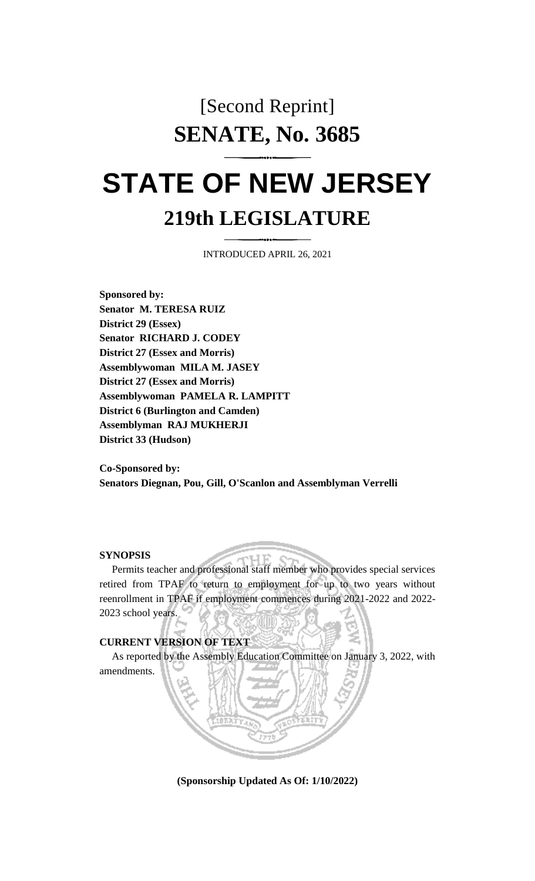# [Second Reprint] **SENATE, No. 3685**

# **STATE OF NEW JERSEY 219th LEGISLATURE**

INTRODUCED APRIL 26, 2021

**Sponsored by: Senator M. TERESA RUIZ District 29 (Essex) Senator RICHARD J. CODEY District 27 (Essex and Morris) Assemblywoman MILA M. JASEY District 27 (Essex and Morris) Assemblywoman PAMELA R. LAMPITT District 6 (Burlington and Camden) Assemblyman RAJ MUKHERJI District 33 (Hudson)**

**Co-Sponsored by: Senators Diegnan, Pou, Gill, O'Scanlon and Assemblyman Verrelli**

## **SYNOPSIS**

Permits teacher and professional staff member who provides special services retired from TPAF to return to employment for up to two years without reenrollment in TPAF if employment commences during 2021-2022 and 2022- 2023 school years.

#### **CURRENT VERSION OF TEXT**

As reported by the Assembly Education Committee on January 3, 2022, with amendments.

**(Sponsorship Updated As Of: 1/10/2022)**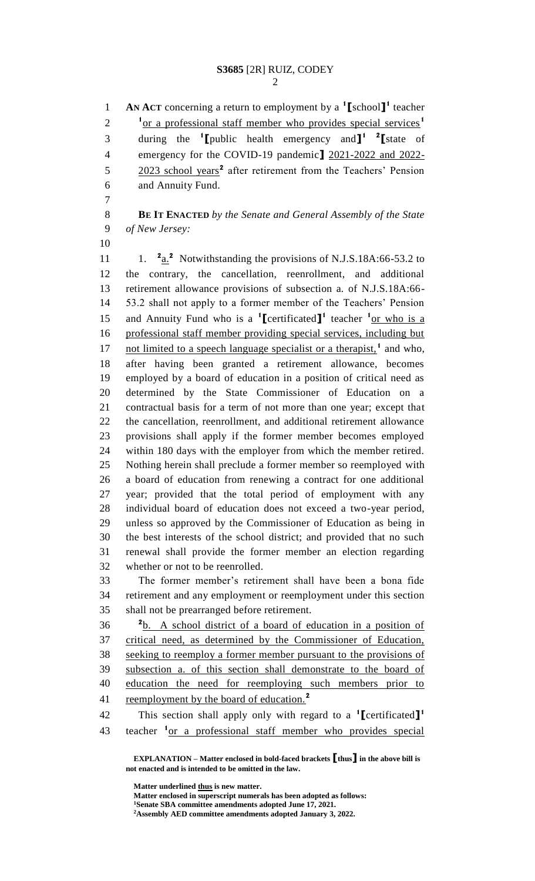**AN ACT** concerning a return to employment by a **<sup>1</sup> [**school**] 1** teacher <sup>1</sup> or a professional staff member who provides special services<sup>1</sup> during the **<sup>1</sup> [**public health emergency and**] 1 2 [**state of emergency for the COVID-19 pandemic**]** 2021-2022 and 2022- 5 2023 school years<sup>2</sup> after retirement from the Teachers' Pension and Annuity Fund.

 **BE IT ENACTED** *by the Senate and General Assembly of the State of New Jersey:*

 $\frac{a_n^2}{a_n^2}$  Notwithstanding the provisions of N.J.S.18A:66-53.2 to the contrary, the cancellation, reenrollment, and additional retirement allowance provisions of subsection a. of N.J.S.18A:66- 53.2 shall not apply to a former member of the Teachers' Pension 15 and Annuity Fund who is a <sup>1</sup>[certificated]<sup>1</sup> teacher <sup>1</sup><sub>Of Who is a</sub> professional staff member providing special services, including but 17 not limited to a speech language specialist or a therapist,<sup>1</sup> and who, after having been granted a retirement allowance, becomes employed by a board of education in a position of critical need as determined by the State Commissioner of Education on a contractual basis for a term of not more than one year; except that the cancellation, reenrollment, and additional retirement allowance provisions shall apply if the former member becomes employed within 180 days with the employer from which the member retired. Nothing herein shall preclude a former member so reemployed with a board of education from renewing a contract for one additional year; provided that the total period of employment with any individual board of education does not exceed a two-year period, unless so approved by the Commissioner of Education as being in the best interests of the school district; and provided that no such renewal shall provide the former member an election regarding whether or not to be reenrolled.

 The former member's retirement shall have been a bona fide retirement and any employment or reemployment under this section shall not be prearranged before retirement.

 b. A school district of a board of education in a position of critical need, as determined by the Commissioner of Education, seeking to reemploy a former member pursuant to the provisions of subsection a. of this section shall demonstrate to the board of education the need for reemploying such members prior to reemployment by the board of education.**<sup>2</sup>** 

This section shall apply only with regard to a **<sup>1</sup> [**certificated**] 1** 43 teacher <sup>1</sup> or a professional staff member who provides special

**EXPLANATION – Matter enclosed in bold-faced brackets [thus] in the above bill is not enacted and is intended to be omitted in the law.**

Matter underlined thus is new matter.

**Matter enclosed in superscript numerals has been adopted as follows: Senate SBA committee amendments adopted June 17, 2021. Assembly AED committee amendments adopted January 3, 2022.**